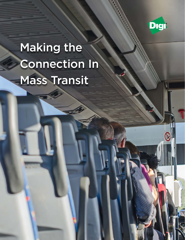

# Making the Connection In Mass Transit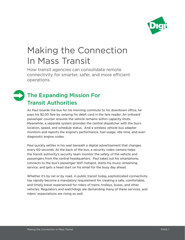

# Making the Connection In Mass Transit

How transit agencies can consolidate remote connectivity for smarter, safer, and more efficient operations.

# The Expanding Mission For Transit Authorities

As Paul boards the bus for his morning commute to his downtown office, he pays his \$2.00 fare by swiping his debit card in the fare reader. An onboard passenger counter ensures the vehicle remains within capacity limits. Meanwhile, a separate system provides the central dispatcher with the bus's location, speed, and schedule status. And a wireless vehicle bus adapter monitors and reports the engine's performance, fuel usage, idle time, and even diagnostic engine codes.

Paul quickly settles in his seat beneath a digital advertisement that changes every 60 seconds. At the back of the bus, a security video camera helps the transit authority's security team monitor the safety of the vehicle and passengers from the central headquarters. Paul takes out his smartphone, connects to the bus's passenger WiFi hotspot, starts his music-streaming service, and gets a head start on his email for the busy day ahead.

Whether it's by rail or by road, in public transit today, sophisticated connectivity has rapidly become a mandatory requirement for creating a safe, comfortable, and timely travel experienced for riders of trains, trolleys, buses, and other vehicles. Regulators and watchdogs are demanding many of these services, and riders' expectations are rising as well.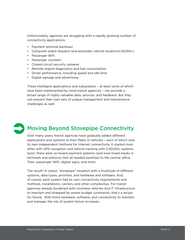Unfortunately, agencies are struggling with a rapidly growing number of connectivity applications:

- Payment terminal backhaul
- Computer-aided dispatch and automatic vehicle location(CAD/AVL)
- Passenger WiFi
- Passenger counters
- Closed-circuit security cameras
- Remote engine diagnostics and fuel consumption
- Driver performance, including speed and idle time
- Digital signage and advertising

These intelligent applications and subsystems – at least some of which have been implemented by most transit agencies – can provide a broad range of highly valuable data, services, and feedback. But they can present their own sets of unique management and maintenance challenges as well.

# Moving Beyond Stovepipe Connectivity

Over many years, transit agencies have gradually added different applications and systems to their fleets of vehicles – each of which uses its own independent methods for Internet connectivity. It started most often with GPS navigation and vehicle tracking with CAD/AVL systems. Soon, there were on-board payment systems (and even ticket kiosks in terminals and stations) that all needed backhaul to the central office. Then, passenger WiFi, digital signs, and more.

The result? A classic "stovepipe" situation with a multitude of different systems, data types, priorities, and hardware and software. And, of course, each system had its own connectivity requirements and methods, installations, carriers, and other complexities. For transit agencies already burdened with countless vehicles and IT infrastructure to maintain and strapped by severe budget constraints, that's a recipe for failure. With more hardware, software, and connectivity to maintain and manage, the risk of system failure increases.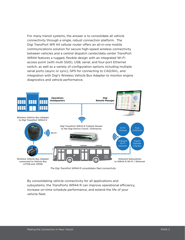For many transit systems, the answer is to consolidate all vehicle connectivity through a single, robust connection platform. The Digi TransPort WR 44 cellular router offers an all-in-one mobile communications solution for secure high-speed wireless connectivity between vehicles and a central dispatch center/data center TransPort WR44 features a rugged, flexible design with an integrated Wi-Fi access point (with multi SSID), USB, serial, and four-port Ethernet switch, as well as a variety of configuration options including multiple serial ports (async or sync), GPS for connecting to CAD/AVL, and integration with Digi's Wireless Vehicle Bus Adapter to monitor engine diagnostics and vehicle performance.



*The Digi TransPort WR44 R consolidates fleet connectivity*

By consolidating vehicle connectivity for all applications and subsystems, the TransPorts WR44 R can improve operational efficiency, increase on-time schedule performance, and extend the life of your vehicle fleet.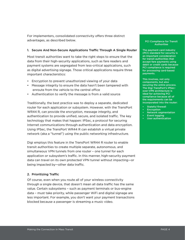For implementers, consolidated connectivity offers three distinct advantages, as described below.

#### 1. Secure And Non-Secure Applications Traffic Through A Single Router

Most transit authorities want to take the right steps to ensure that the data from their high-security applications, such as fare readers and payment systems are segregated from less-critical applications, such as digital advertising signage. Those critical applications require three important characteristics:

- Encryption to prevent unauthorized viewing of your data
- Message integrity to ensure the data hasn't been tampered with enroute from the vehicle to the central office
- Authentication to verify the message is from a valid source

Traditionally, the best practice was to deploy a separate, dedicated router for each application or subsystem. However, with the TransPort WR44 R, can provide the encryption, message integrity, and authentication to provide unified, secure, and isolated traffic. The key technology that makes that happen: IPSec, a protocol for securing Internet communications through authentication and data encryption. Using IPSec, the TransPort WR44 R can establish a virtual private network (aka a "tunnel") using the public networking infrastructure.

Digi employs this feature in the TransPort WR44 R router to enable transit authorities to create multiple separate, autonomous, and simultaneous VPN tunnels from one router – one tunnel for each application or subsystem's traffic. In this manner, high-security payment data can travel on its own protected VPN tunnel without impacting—or being impacted by—other data traffic.

#### 2. Prioritizing Traffic

Of course, even when you route all of your wireless connectivity through a single device, that doesn't mean all data traffic has the same value. Certain subsystems – such as payment terminals or bus-engine data – must take priority, while passenger WiFi and digital signage are less important. For example, you don't want your payment transactions blocked because a passenger is streaming a music video.

#### PCI Compliance for Transit **Authorities**

The payment card industry (PCI) standard for security is an important consideration for transit authorities that accept fare payments using debit or credit cards because PCI compliance is required for processing card-based payments.

This involves, not only components, but also securing the entire process. The Digi TransPort's IPSecover-VPN architecture is ideal for achieving PCI compliance because all of the requirements can be incorporated into the router:

- Stateful firewall
- **Encryption**
- Network segmentation
- **Event logging**
- User authentication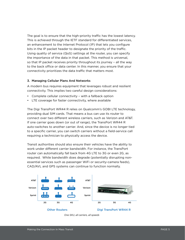The goal is to ensure that the high-priority traffic has the lowest latency. This is achieved through the IETF standard for differentiated services, an enhancement to the Internet Protocol (IP) that lets you configure bits in the IP packet header to designate the priority of the traffic. Using quality of service (QoS) settings at the router, you can specify the importance of the data in that packet. This method is universal, so that IP packet receives priority throughout its journey – all the way to the back office or data center. In this manner, you ensure that your connectivity prioritizes the data traffic that matters most.

#### 3. Managing Cellular Plans And Networks

A modern bus requires equipment that leverages robust and resilient connectivity. This implies two careful design considerations:

- Complete cellular connectivity with a fallback option
- LTE coverage for faster connectivity, where available

The Digi TransPort WR44 R relies on Qualcomm's GOBI LTE technology, providing dual SIM cards. That means a bus can use its router to connect over two different wireless carriers, such as Verizon and AT&T. If one carrier goes down (or out of range), the TransPort WR44 R auto-switches to another carrier. And, since the device is no longer tied to a specific carrier, you can switch carriers without a field-service call requiring a technician to physically access the device.

Transit authorities should also ensure their vehicles have the ability to work under different carrier bandwidth. For instance, the TransPort router can automatically fall back from 4G LTE to 3G or even 2G, as required. While bandwidth does degrade (potentially disrupting nonessential services such as passenger WiFi or security-camera feeds), CAD/AVL and GPS systems can continue to function normally.

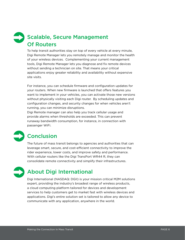# Scalable, Secure Management Of Routers

To help transit authorities stay on top of every vehicle at every minute, Digi Remote Manager lets you remotely manage and monitor the health of your wireless devices. Complementing your current management tools, Digi Remote Manager lets you diagnose and fix remote devices without sending a technician on site. That means your critical applications enjoy greater reliability and availability without expensive site visits.

For instance, you can schedule firmware and configuration updates for your routers. When new firmware is launched that offers features you want to implement in your vehicles, you can activate those new versions without physically visiting each Digi router. By scheduling updates and configuration changes, and security changes for when vehicles aren't running, you can minimize disruptions.

Digi Remote manager can also help you track cellular usage and provide alarms when thresholds are exceeded. This can prevent runaway bandwidth consumption, for instance, in connection with passenger WiFi.



### **Conclusion**

The future of mass transit belongs to agencies and authorities that can leverage smart, secure, and cost-efficient connectivity to improve the rider experience, lower costs, and improve safety and performance. With cellular routers like the Digi TransPort WR44 R, they can consolidate remote connectivity and simplify their infrastructures.

## About Digi International

Digi International (NASDAQ: DGII) is your mission critical M2M solutions expert, providing the industry's broadest range of wireless products, a cloud computing platform tailored for devices and development services to help customers get to market fast with wireless devices and applications. Digi's entire solution set is tailored to allow any device to communicate with any application, anywhere in the world.